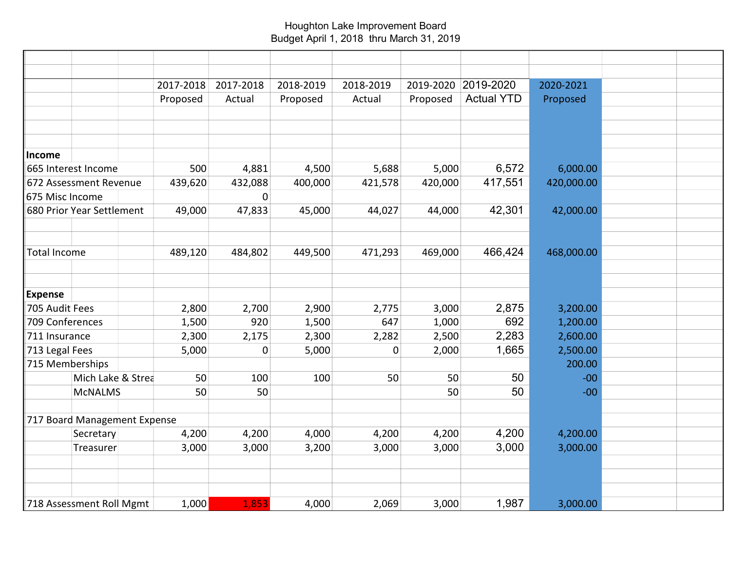## Houghton Lake Improvement Board Budget April 1, 2018 thru March 31, 2019

|                              | 2017-2018 | 2017-2018 | 2018-2019 | 2018-2019   | 2019-2020 | 2019-2020         | 2020-2021  |  |
|------------------------------|-----------|-----------|-----------|-------------|-----------|-------------------|------------|--|
|                              | Proposed  | Actual    | Proposed  | Actual      | Proposed  | <b>Actual YTD</b> | Proposed   |  |
|                              |           |           |           |             |           |                   |            |  |
|                              |           |           |           |             |           |                   |            |  |
| Income                       |           |           |           |             |           |                   |            |  |
| 665 Interest Income          | 500       | 4,881     | 4,500     | 5,688       | 5,000     | 6,572             | 6,000.00   |  |
| 672 Assessment Revenue       | 439,620   | 432,088   | 400,000   | 421,578     | 420,000   | 417,551           | 420,000.00 |  |
| 675 Misc Income              |           | $\pmb{0}$ |           |             |           |                   |            |  |
| 680 Prior Year Settlement    | 49,000    | 47,833    | 45,000    | 44,027      | 44,000    | 42,301            | 42,000.00  |  |
|                              |           |           |           |             |           |                   |            |  |
| <b>Total Income</b>          | 489,120   | 484,802   | 449,500   | 471,293     | 469,000   | 466,424           | 468,000.00 |  |
| <b>Expense</b>               |           |           |           |             |           |                   |            |  |
| 705 Audit Fees               | 2,800     | 2,700     | 2,900     | 2,775       | 3,000     | 2,875             | 3,200.00   |  |
| 709 Conferences              | 1,500     | 920       | 1,500     | 647         | 1,000     | 692               | 1,200.00   |  |
| 711 Insurance                | 2,300     | 2,175     | 2,300     | 2,282       | 2,500     | 2,283             | 2,600.00   |  |
| 713 Legal Fees               | 5,000     | 0         | 5,000     | $\mathbf 0$ | 2,000     | 1,665             | 2,500.00   |  |
| 715 Memberships              |           |           |           |             |           |                   | 200.00     |  |
| Mich Lake & Strea            | 50        | 100       | 100       | 50          | 50        | 50                | $-00$      |  |
| <b>McNALMS</b>               | 50        | 50        |           |             | 50        | 50                | $-00$      |  |
| 717 Board Management Expense |           |           |           |             |           |                   |            |  |
| Secretary                    | 4,200     | 4,200     | 4,000     | 4,200       | 4,200     | 4,200             | 4,200.00   |  |
| Treasurer                    | 3,000     | 3,000     | 3,200     | 3,000       | 3,000     | 3,000             | 3,000.00   |  |
|                              |           |           |           |             |           |                   |            |  |
| 718 Assessment Roll Mgmt     | 1,000     | 1,853     | 4,000     | 2,069       | 3,000     | 1,987             | 3,000.00   |  |
|                              |           |           |           |             |           |                   |            |  |